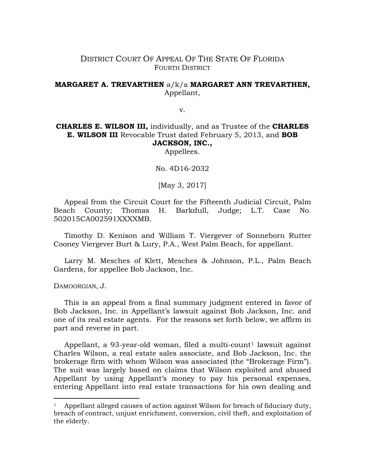## DISTRICT COURT OF APPEAL OF THE STATE OF FLORIDA FOURTH DISTRICT

## **MARGARET A. TREVARTHEN** a/k/a **MARGARET ANN TREVARTHEN,** Appellant,

v.

**CHARLES E. WILSON III,** individually, and as Trustee of the **CHARLES E. WILSON III** Revocable Trust dated February 5, 2013, and **BOB JACKSON, INC.,**

Appellees.

No. 4D16-2032

[May 3, 2017]

Appeal from the Circuit Court for the Fifteenth Judicial Circuit, Palm Beach County; Thomas H. Barkdull, Judge; L.T. Case No. 502015CA002591XXXXMB.

Timothy D. Kenison and William T. Viergever of Sonneborn Rutter Cooney Viergever Burt & Lury, P.A., West Palm Beach, for appellant.

Larry M. Mesches of Klett, Mesches & Johnson, P.L., Palm Beach Gardens, for appellee Bob Jackson, Inc.

DAMOORGIAN, J.

 $\overline{a}$ 

This is an appeal from a final summary judgment entered in favor of Bob Jackson, Inc. in Appellant's lawsuit against Bob Jackson, Inc. and one of its real estate agents. For the reasons set forth below, we affirm in part and reverse in part.

Appellant, a 93-year-old woman, filed a multi-count<sup>[1](#page-0-0)</sup> lawsuit against Charles Wilson, a real estate sales associate, and Bob Jackson, Inc. the brokerage firm with whom Wilson was associated (the "Brokerage Firm"). The suit was largely based on claims that Wilson exploited and abused Appellant by using Appellant's money to pay his personal expenses, entering Appellant into real estate transactions for his own dealing and

<span id="page-0-0"></span>Appellant alleged causes of action against Wilson for breach of fiduciary duty, breach of contract, unjust enrichment, conversion, civil theft, and exploitation of the elderly.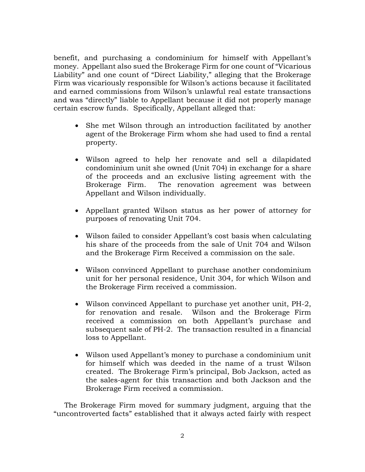benefit, and purchasing a condominium for himself with Appellant's money. Appellant also sued the Brokerage Firm for one count of "Vicarious Liability" and one count of "Direct Liability," alleging that the Brokerage Firm was vicariously responsible for Wilson's actions because it facilitated and earned commissions from Wilson's unlawful real estate transactions and was "directly" liable to Appellant because it did not properly manage certain escrow funds. Specifically, Appellant alleged that:

- She met Wilson through an introduction facilitated by another agent of the Brokerage Firm whom she had used to find a rental property.
- Wilson agreed to help her renovate and sell a dilapidated condominium unit she owned (Unit 704) in exchange for a share of the proceeds and an exclusive listing agreement with the Brokerage Firm. The renovation agreement was between Appellant and Wilson individually.
- Appellant granted Wilson status as her power of attorney for purposes of renovating Unit 704.
- Wilson failed to consider Appellant's cost basis when calculating his share of the proceeds from the sale of Unit 704 and Wilson and the Brokerage Firm Received a commission on the sale.
- Wilson convinced Appellant to purchase another condominium unit for her personal residence, Unit 304, for which Wilson and the Brokerage Firm received a commission.
- Wilson convinced Appellant to purchase yet another unit, PH-2, for renovation and resale. Wilson and the Brokerage Firm received a commission on both Appellant's purchase and subsequent sale of PH-2. The transaction resulted in a financial loss to Appellant.
- Wilson used Appellant's money to purchase a condominium unit for himself which was deeded in the name of a trust Wilson created. The Brokerage Firm's principal, Bob Jackson, acted as the sales-agent for this transaction and both Jackson and the Brokerage Firm received a commission.

The Brokerage Firm moved for summary judgment, arguing that the "uncontroverted facts" established that it always acted fairly with respect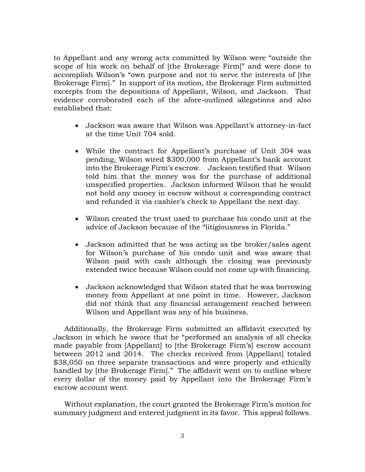to Appellant and any wrong acts committed by Wilson were "outside the scope of his work on behalf of [the Brokerage Firm]" and were done to accomplish Wilson's "own purpose and not to serve the interests of [the Brokerage Firm]." In support of its motion, the Brokerage Firm submitted excerpts from the depositions of Appellant, Wilson, and Jackson. That evidence corroborated each of the afore-outlined allegations and also established that:

- Jackson was aware that Wilson was Appellant's attorney-in-fact at the time Unit 704 sold.
- While the contract for Appellant's purchase of Unit 304 was pending, Wilson wired \$300,000 from Appellant's bank account into the Brokerage Firm's escrow. Jackson testified that Wilson told him that the money was for the purchase of additional unspecified properties. Jackson informed Wilson that he would not hold any money in escrow without a corresponding contract and refunded it via cashier's check to Appellant the next day.
- Wilson created the trust used to purchase his condo unit at the advice of Jackson because of the "litigiousness in Florida."
- Jackson admitted that he was acting as the broker/sales agent for Wilson's purchase of his condo unit and was aware that Wilson paid with cash although the closing was previously extended twice because Wilson could not come up with financing.
- Jackson acknowledged that Wilson stated that he was borrowing money from Appellant at one point in time. However, Jackson did not think that any financial arrangement reached between Wilson and Appellant was any of his business.

Additionally, the Brokerage Firm submitted an affidavit executed by Jackson in which he swore that he "performed an analysis of all checks made payable from [Appellant] to [the Brokerage Firm's] escrow account between 2012 and 2014. The checks received from [Appellant] totaled \$38,050 on three separate transactions and were properly and ethically handled by [the Brokerage Firm]." The affidavit went on to outline where every dollar of the money paid by Appellant into the Brokerage Firm's escrow account went.

Without explanation, the court granted the Brokerage Firm's motion for summary judgment and entered judgment in its favor. This appeal follows.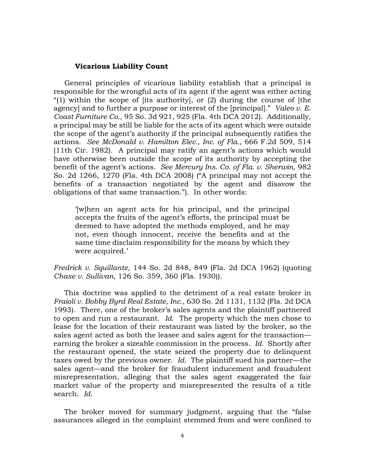## **Vicarious Liability Count**

General principles of vicarious liability establish that a principal is responsible for the wrongful acts of its agent if the agent was either acting "(1) within the scope of [its authority], or  $(2)$  during the course of [the agency] and to further a purpose or interest of the [principal]." *Valeo v. E. Coast Furniture Co.*, 95 So. 3d 921, 925 (Fla. 4th DCA 2012). Additionally, a principal may be still be liable for the acts of its agent which were outside the scope of the agent's authority if the principal subsequently ratifies the actions. *See McDonald v. Hamilton Elec., Inc. of Fla.*, 666 F.2d 509, 514 (11th Cir. 1982). A principal may ratify an agent's actions which would have otherwise been outside the scope of its authority by accepting the benefit of the agent's actions. *See Mercury Ins. Co. of Fla. v. Sherwin*, 982 So. 2d 1266, 1270 (Fla. 4th DCA 2008) ("A principal may not accept the benefits of a transaction negotiated by the agent and disavow the obligations of that same transaction."). In other words:

'[w]hen an agent acts for his principal, and the principal accepts the fruits of the agent's efforts, the principal must be deemed to have adopted the methods employed, and he may not, even though innocent, receive the benefits and at the same time disclaim responsibility for the means by which they were acquired.'

*Fredrick v. Squillante*, 144 So. 2d 848, 849 (Fla. 2d DCA 1962) (quoting *Chase v. Sullivan*, 126 So. 359, 360 (Fla. 1930)).

This doctrine was applied to the detriment of a real estate broker in *Fraioli v. Bobby Byrd Real Estate, Inc*[., 630 So. 2d 1131, 1132 \(Fla. 2d DCA](https://www.westlaw.com/Document/If7d2866c0e4211d9821e9512eb7d7b26/View/FullText.html?transitionType=Default&contextData=(sc.Default)&VR=3.0&RS=da3.0&fragmentIdentifier=co_pp_sp_735_1132)  [1993\).](https://www.westlaw.com/Document/If7d2866c0e4211d9821e9512eb7d7b26/View/FullText.html?transitionType=Default&contextData=(sc.Default)&VR=3.0&RS=da3.0&fragmentIdentifier=co_pp_sp_735_1132) There, one of the broker's sales agents and the plaintiff partnered to open and run a restaurant. *[Id](https://www.westlaw.com/Document/If7d2866c0e4211d9821e9512eb7d7b26/View/FullText.html?transitionType=Default&contextData=(sc.Default)&VR=3.0&RS=da3.0)*. The property which the men chose to lease for the location of their restaurant was listed by the broker, so the sales agent acted as both the leasee and sales agent for the transaction earning the broker a sizeable commission in the process. *[Id.](https://www.westlaw.com/Document/If7d2866c0e4211d9821e9512eb7d7b26/View/FullText.html?transitionType=Default&contextData=(sc.Default)&VR=3.0&RS=da3.0)* Shortly after the restaurant opened, the state seized the property due to delinquent taxes owed by the previous owner. *[Id](https://www.westlaw.com/Document/If7d2866c0e4211d9821e9512eb7d7b26/View/FullText.html?transitionType=Default&contextData=(sc.Default)&VR=3.0&RS=da3.0)*. The plaintiff sued his partner—the sales agent—and the broker for fraudulent inducement and fraudulent misrepresentation, alleging that the sales agent exaggerated the fair market value of the property and misrepresented the results of a title search. *[Id](https://www.westlaw.com/Document/If7d2866c0e4211d9821e9512eb7d7b26/View/FullText.html?transitionType=Default&contextData=(sc.Default)&VR=3.0&RS=da3.0)*.

The broker moved for summary judgment, arguing that the "false assurances alleged in the complaint stemmed from and were confined to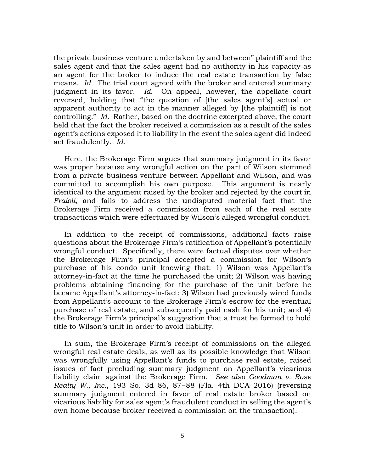the private business venture undertaken by and between" plaintiff and the sales agent and that the sales agent had no authority in his capacity as an agent for the broker to induce the real estate transaction by false means. *Id.* The trial court agreed with the broker and entered summary judgment in its favor. *Id.* On appeal, however, the appellate court reversed, holding that "the question of [the sales agent's] actual or apparent authority to act in the manner alleged by [the plaintiff] is not controlling." *Id.* Rather, based on the doctrine excerpted above, the court held that the fact the broker received a commission as a result of the sales agent's actions exposed it to liability in the event the sales agent did indeed act fraudulently. *Id.*

Here, the Brokerage Firm argues that summary judgment in its favor was proper because any wrongful action on the part of Wilson stemmed from a private business venture between Appellant and Wilson, and was committed to accomplish his own purpose. This argument is nearly identical to the argument raised by the broker and rejected by the court in *Fraioli*, and fails to address the undisputed material fact that the Brokerage Firm received a commission from each of the real estate transactions which were effectuated by Wilson's alleged wrongful conduct.

In addition to the receipt of commissions, additional facts raise questions about the Brokerage Firm's ratification of Appellant's potentially wrongful conduct. Specifically, there were factual disputes over whether the Brokerage Firm's principal accepted a commission for Wilson's purchase of his condo unit knowing that: 1) Wilson was Appellant's attorney-in-fact at the time he purchased the unit; 2) Wilson was having problems obtaining financing for the purchase of the unit before he became Appellant's attorney-in-fact; 3) Wilson had previously wired funds from Appellant's account to the Brokerage Firm's escrow for the eventual purchase of real estate, and subsequently paid cash for his unit; and 4) the Brokerage Firm's principal's suggestion that a trust be formed to hold title to Wilson's unit in order to avoid liability.

In sum, the Brokerage Firm's receipt of commissions on the alleged wrongful real estate deals, as well as its possible knowledge that Wilson was wrongfully using Appellant's funds to purchase real estate, raised issues of fact precluding summary judgment on Appellant's vicarious liability claim against the Brokerage Firm. *See also Goodman v. Rose Realty W., Inc.*, 193 So. 3d 86, 87−88 (Fla. 4th DCA 2016) (reversing summary judgment entered in favor of real estate broker based on vicarious liability for sales agent's fraudulent conduct in selling the agent's own home because broker received a commission on the transaction).